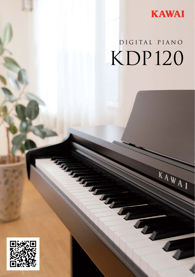

KAWAI

# DIGITAL PIANO KDP120

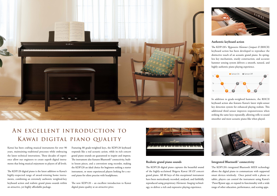

## An excellent introduction to Kawai digital piano quality

Kawai has been crafting musical instruments for over 90 years, maintaining traditional processes while embracing the latest technical innovations. These decades of experience allow our engineers to create superb digital instruments that bring musical enjoyment to players of all levels.

The KDP120 digital piano is the latest addition to Kawai's highly-respected range of award-winning home instruments, combining an extremely authentic weighted-key keyboard action and realistic grand piano sounds within an attractive, yet highly affordable package.

Featuring 88 grade-weighted keys, the KDP120 keyboard responds like a real acoustic action, while its rich concert grand piano sounds are guaranteed to inspire and impress. The instrument also features Bluetooth<sup>®</sup> connectivity, builtin lesson pieces, and a convenient song recorder, making the KDP120 an ideal choice for beginners seeking a starter instrument, or more experienced players looking for a second piano for silent practise with headphones.

The new KDP120 – an excellent introduction to Kawai digital piano quality at an attractive price.



#### **Realistic grand piano sounds**

The KDP120 digital piano captures the beautiful sound of the highly-acclaimed Shigeru Kawai *SK-EX* concert grand piano. All 88 keys of this exceptional instrument have been meticulously recorded, analysed, and faithfully reproduced using proprietary *Harmonic Imaging* technology, to deliver a rich and expressive playing experience.



#### **Authentic keyboard action**

The KDP120's *Responsive Hammer Compact II* (RHCII) keyboard action has been developed to reproduce the distinctive touch of an acoustic grand piano. Its springless key mechanism, sturdy construction, and accurate hammer sensing system delivers a smooth, natural, and highly authentic piano playing experience.



In addition to grade-weighted hammers, the RHCII keyboard action also features Kawai's latest triple-sensor key detection system for enhanced playing realism. This additional third sensor improves responsiveness when striking the same keys repeatedly, allowing trills to sound smoother and more acoustic piano-like when played.



#### **Integrated Bluetooth® connectivity**

The KDP120's integrated Bluetooth MIDI technology allows the digital piano to communicate with supported smart devices wirelessly. Once paired with a phone or tablet, players can control the instrument using Kawai's *PianoRemote* app, or expand its functionality with a wide range of other education, performance, and scoring apps.